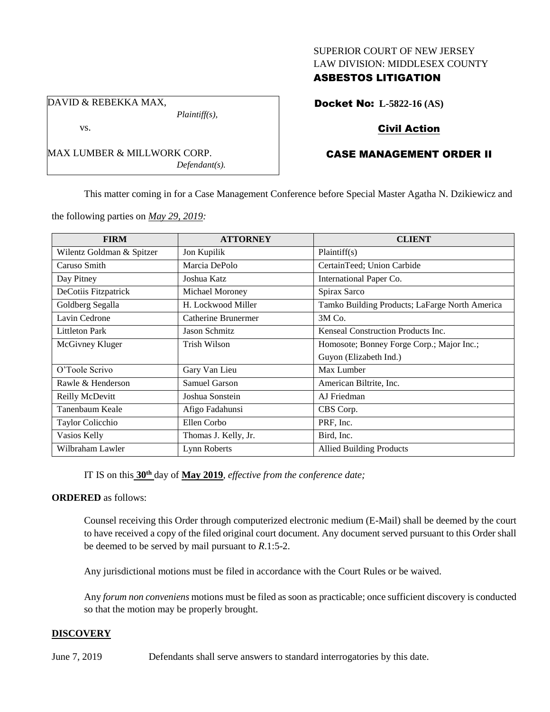#### SUPERIOR COURT OF NEW JERSEY LAW DIVISION: MIDDLESEX COUNTY

# ASBESTOS LITIGATION

DAVID & REBEKKA MAX,

vs.

MAX LUMBER & MILLWORK CORP.

*Defendant(s).*

*Plaintiff(s),*

Docket No: **L-5822-16 (AS)**

# Civil Action

# CASE MANAGEMENT ORDER II

This matter coming in for a Case Management Conference before Special Master Agatha N. Dzikiewicz and

the following parties on *May 29, 2019:*

| <b>FIRM</b>               | <b>ATTORNEY</b>      | <b>CLIENT</b>                                  |
|---------------------------|----------------------|------------------------------------------------|
| Wilentz Goldman & Spitzer | Jon Kupilik          | Plaintiff(s)                                   |
| Caruso Smith              | Marcia DePolo        | CertainTeed; Union Carbide                     |
| Day Pitney                | Joshua Katz          | International Paper Co.                        |
| DeCotiis Fitzpatrick      | Michael Moroney      | Spirax Sarco                                   |
| Goldberg Segalla          | H. Lockwood Miller   | Tamko Building Products; LaFarge North America |
| Lavin Cedrone             | Catherine Brunermer  | 3M Co.                                         |
| <b>Littleton Park</b>     | Jason Schmitz        | Kenseal Construction Products Inc.             |
| McGivney Kluger           | Trish Wilson         | Homosote; Bonney Forge Corp.; Major Inc.;      |
|                           |                      | Guyon (Elizabeth Ind.)                         |
| O'Toole Scrivo            | Gary Van Lieu        | Max Lumber                                     |
| Rawle & Henderson         | Samuel Garson        | American Biltrite, Inc.                        |
| Reilly McDevitt           | Joshua Sonstein      | AJ Friedman                                    |
| Tanenbaum Keale           | Afigo Fadahunsi      | CBS Corp.                                      |
| Taylor Colicchio          | Ellen Corbo          | PRF, Inc.                                      |
| Vasios Kelly              | Thomas J. Kelly, Jr. | Bird, Inc.                                     |
| Wilbraham Lawler          | Lynn Roberts         | <b>Allied Building Products</b>                |

IT IS on this **30th** day of **May 2019**, *effective from the conference date;*

### **ORDERED** as follows:

Counsel receiving this Order through computerized electronic medium (E-Mail) shall be deemed by the court to have received a copy of the filed original court document. Any document served pursuant to this Order shall be deemed to be served by mail pursuant to *R*.1:5-2.

Any jurisdictional motions must be filed in accordance with the Court Rules or be waived.

Any *forum non conveniens* motions must be filed as soon as practicable; once sufficient discovery is conducted so that the motion may be properly brought.

### **DISCOVERY**

June 7, 2019 Defendants shall serve answers to standard interrogatories by this date.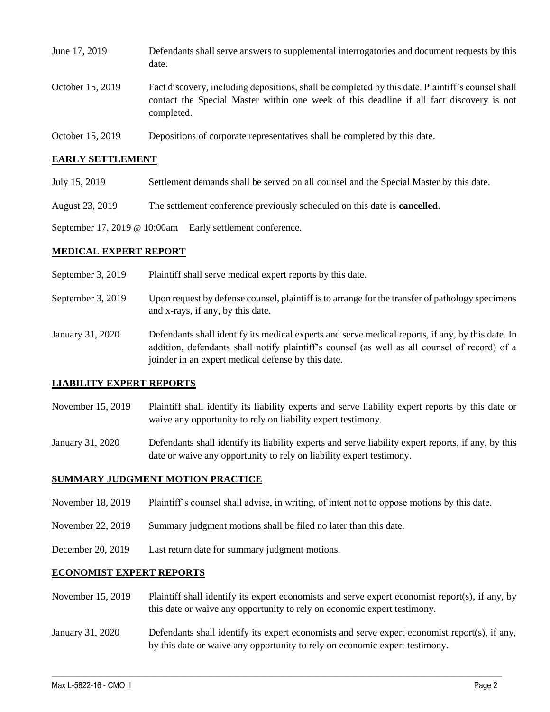| June 17, 2019    | Defendants shall serve answers to supplemental interrogatories and document requests by this<br>date.                                                                                                       |
|------------------|-------------------------------------------------------------------------------------------------------------------------------------------------------------------------------------------------------------|
| October 15, 2019 | Fact discovery, including depositions, shall be completed by this date. Plaintiff's counsel shall<br>contact the Special Master within one week of this deadline if all fact discovery is not<br>completed. |
| October 15, 2019 | Depositions of corporate representatives shall be completed by this date.                                                                                                                                   |

### **EARLY SETTLEMENT**

- July 15, 2019 Settlement demands shall be served on all counsel and the Special Master by this date.
- August 23, 2019 The settlement conference previously scheduled on this date is **cancelled**.

September 17, 2019 @ 10:00am Early settlement conference.

#### **MEDICAL EXPERT REPORT**

| Plaintiff shall serve medical expert reports by this date. | September 3, 2019 |  |
|------------------------------------------------------------|-------------------|--|
|------------------------------------------------------------|-------------------|--|

- September 3, 2019 Upon request by defense counsel, plaintiff is to arrange for the transfer of pathology specimens and x-rays, if any, by this date.
- January 31, 2020 Defendants shall identify its medical experts and serve medical reports, if any, by this date. In addition, defendants shall notify plaintiff's counsel (as well as all counsel of record) of a joinder in an expert medical defense by this date.

#### **LIABILITY EXPERT REPORTS**

- November 15, 2019 Plaintiff shall identify its liability experts and serve liability expert reports by this date or waive any opportunity to rely on liability expert testimony.
- January 31, 2020 Defendants shall identify its liability experts and serve liability expert reports, if any, by this date or waive any opportunity to rely on liability expert testimony.

#### **SUMMARY JUDGMENT MOTION PRACTICE**

- November 18, 2019 Plaintiff's counsel shall advise, in writing, of intent not to oppose motions by this date.
- November 22, 2019 Summary judgment motions shall be filed no later than this date.
- December 20, 2019 Last return date for summary judgment motions.

#### **ECONOMIST EXPERT REPORTS**

- November 15, 2019 Plaintiff shall identify its expert economists and serve expert economist report(s), if any, by this date or waive any opportunity to rely on economic expert testimony.
- January 31, 2020 Defendants shall identify its expert economists and serve expert economist report(s), if any, by this date or waive any opportunity to rely on economic expert testimony.

 $\_$  , and the set of the set of the set of the set of the set of the set of the set of the set of the set of the set of the set of the set of the set of the set of the set of the set of the set of the set of the set of th